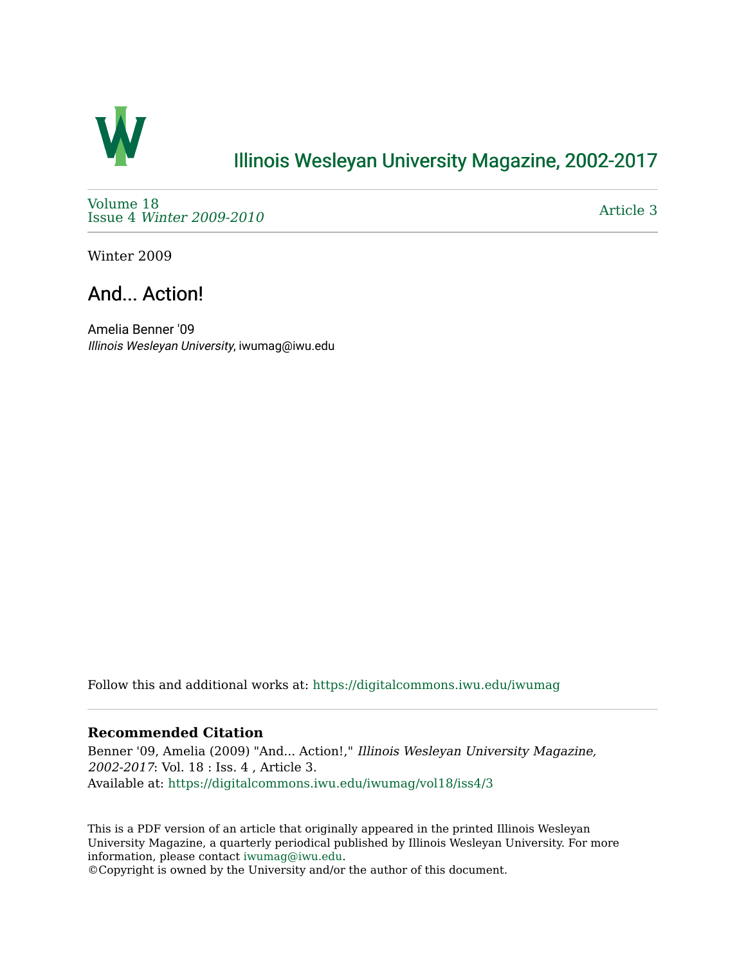

## [Illinois Wesleyan University Magazine, 2002-2017](https://digitalcommons.iwu.edu/iwumag)

[Volume 18](https://digitalcommons.iwu.edu/iwumag/vol18)  Issue 4 [Winter 2009-2010](https://digitalcommons.iwu.edu/iwumag/vol18/iss4)

[Article 3](https://digitalcommons.iwu.edu/iwumag/vol18/iss4/3) 

Winter 2009

## And... Action!

Amelia Benner '09 Illinois Wesleyan University, iwumag@iwu.edu

Follow this and additional works at: [https://digitalcommons.iwu.edu/iwumag](https://digitalcommons.iwu.edu/iwumag?utm_source=digitalcommons.iwu.edu%2Fiwumag%2Fvol18%2Fiss4%2F3&utm_medium=PDF&utm_campaign=PDFCoverPages) 

### **Recommended Citation**

Benner '09, Amelia (2009) "And... Action!," Illinois Wesleyan University Magazine, 2002-2017: Vol. 18 : Iss. 4 , Article 3. Available at: [https://digitalcommons.iwu.edu/iwumag/vol18/iss4/3](https://digitalcommons.iwu.edu/iwumag/vol18/iss4/3?utm_source=digitalcommons.iwu.edu%2Fiwumag%2Fvol18%2Fiss4%2F3&utm_medium=PDF&utm_campaign=PDFCoverPages)

This is a PDF version of an article that originally appeared in the printed Illinois Wesleyan University Magazine, a quarterly periodical published by Illinois Wesleyan University. For more information, please contact [iwumag@iwu.edu](mailto:iwumag@iwu.edu).

©Copyright is owned by the University and/or the author of this document.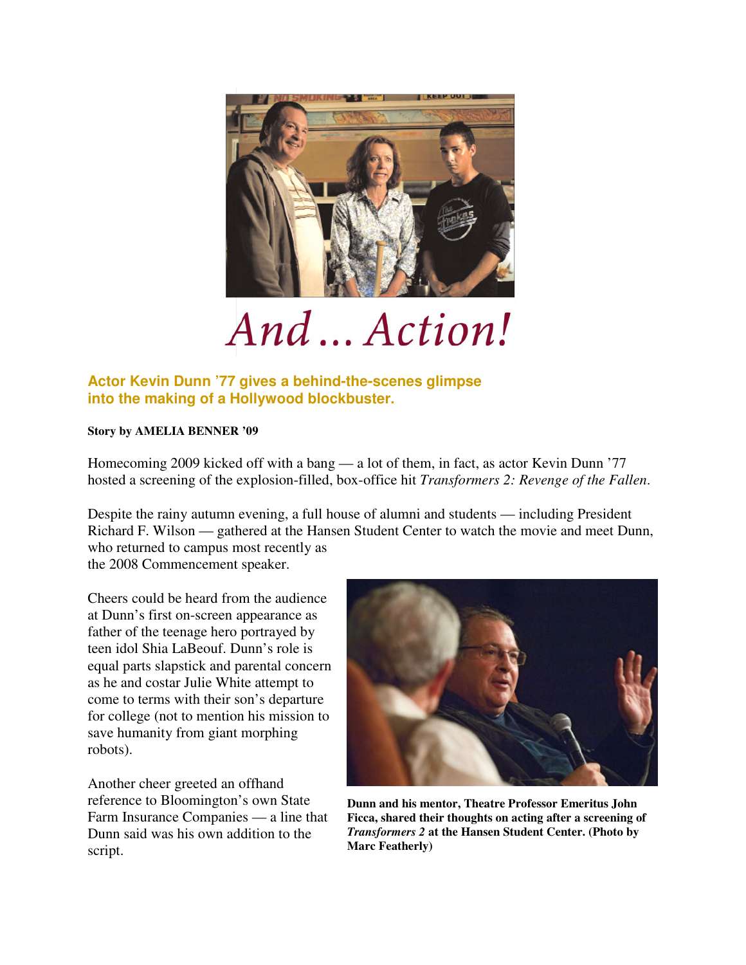

# And ... Action!

### **Actor Kevin Dunn '77 gives a behind-the-scenes glimpse into the making of a Hollywood blockbuster.**

#### **Story by AMELIA BENNER '09**

Homecoming 2009 kicked off with a bang — a lot of them, in fact, as actor Kevin Dunn '77 hosted a screening of the explosion-filled, box-office hit *Transformers 2: Revenge of the Fallen*.

Despite the rainy autumn evening, a full house of alumni and students — including President Richard F. Wilson — gathered at the Hansen Student Center to watch the movie and meet Dunn, who returned to campus most recently as the 2008 Commencement speaker.

Cheers could be heard from the audience at Dunn's first on-screen appearance as father of the teenage hero portrayed by teen idol Shia LaBeouf. Dunn's role is equal parts slapstick and parental concern as he and costar Julie White attempt to come to terms with their son's departure for college (not to mention his mission to save humanity from giant morphing robots).

Another cheer greeted an offhand reference to Bloomington's own State Farm Insurance Companies — a line that Dunn said was his own addition to the script.



**Dunn and his mentor, Theatre Professor Emeritus John Ficca, shared their thoughts on acting after a screening of**  *Transformers 2* **at the Hansen Student Center. (Photo by Marc Featherly)**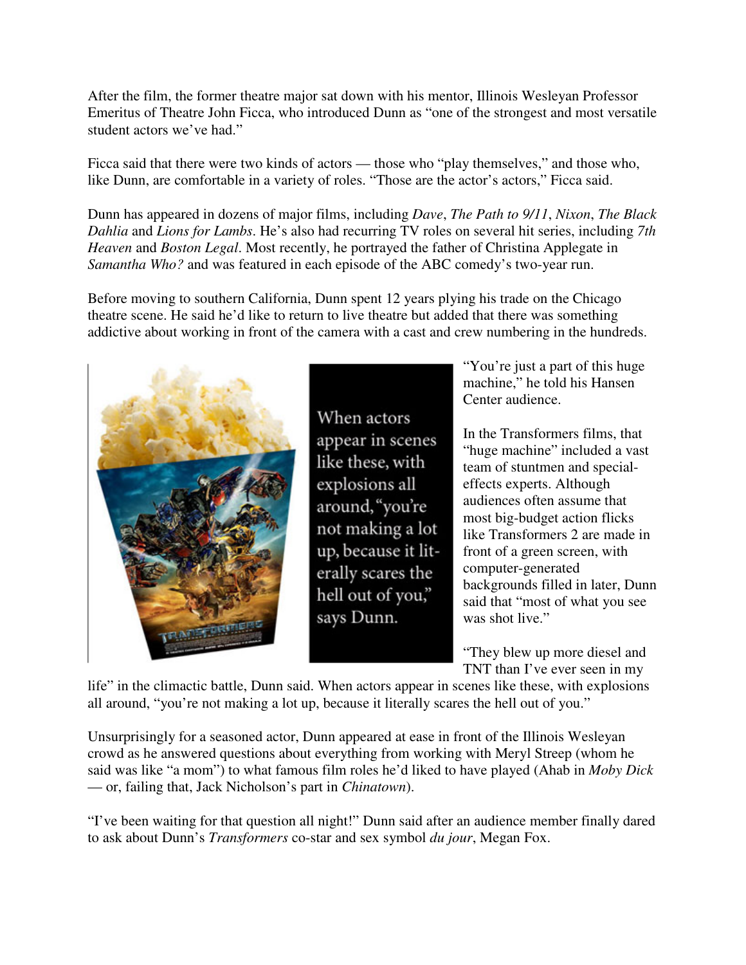After the film, the former theatre major sat down with his mentor, Illinois Wesleyan Professor Emeritus of Theatre John Ficca, who introduced Dunn as "one of the strongest and most versatile student actors we've had."

Ficca said that there were two kinds of actors — those who "play themselves," and those who, like Dunn, are comfortable in a variety of roles. "Those are the actor's actors," Ficca said.

Dunn has appeared in dozens of major films, including *Dave*, *The Path to 9/11*, *Nixon*, *The Black Dahlia* and *Lions for Lambs*. He's also had recurring TV roles on several hit series, including *7th Heaven* and *Boston Legal*. Most recently, he portrayed the father of Christina Applegate in *Samantha Who?* and was featured in each episode of the ABC comedy's two-year run.

Before moving to southern California, Dunn spent 12 years plying his trade on the Chicago theatre scene. He said he'd like to return to live theatre but added that there was something addictive about working in front of the camera with a cast and crew numbering in the hundreds.



When actors appear in scenes like these, with explosions all around, "you're not making a lot up, because it literally scares the hell out of you," says Dunn.

"You're just a part of this huge" machine," he told his Hansen Center audience.

In the Transformers films, that "huge machine" included a vast team of stuntmen and specialeffects experts. Although audiences often assume that most big-budget action flicks like Transformers 2 are made in front of a green screen, with computer-generated backgrounds filled in later, Dunn said that "most of what you see was shot live."

"They blew up more diesel and TNT than I've ever seen in my

life" in the climactic battle, Dunn said. When actors appear in scenes like these, with explosions all around, "you're not making a lot up, because it literally scares the hell out of you."

Unsurprisingly for a seasoned actor, Dunn appeared at ease in front of the Illinois Wesleyan crowd as he answered questions about everything from working with Meryl Streep (whom he said was like "a mom") to what famous film roles he'd liked to have played (Ahab in *Moby Dick* — or, failing that, Jack Nicholson's part in *Chinatown*).

"I've been waiting for that question all night!" Dunn said after an audience member finally dared to ask about Dunn's *Transformers* co-star and sex symbol *du jour*, Megan Fox.